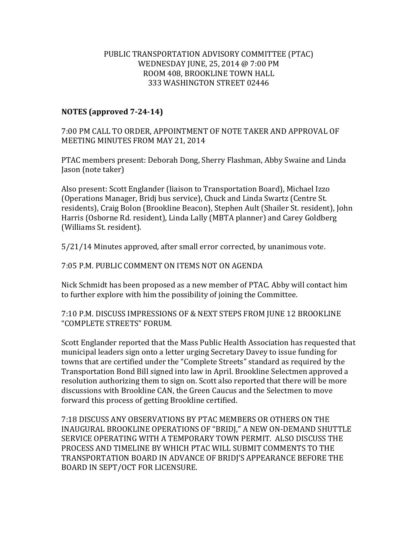## PUBLIC TRANSPORTATION ADVISORY COMMITTEE (PTAC) WEDNESDAY JUNE, 25, 2014 @ 7:00 PM ROOM 408, BROOKLINE TOWN HALL 333 WASHINGTON STREET 02446

## **NOTES (approved 7-24-14)**

7:00 PM CALL TO ORDER, APPOINTMENT OF NOTE TAKER AND APPROVAL OF MEETING MINUTES FROM MAY 21, 2014

PTAC members present: Deborah Dong, Sherry Flashman, Abby Swaine and Linda Jason (note taker)

Also present: Scott Englander (liaison to Transportation Board), Michael Izzo (Operations Manager, Bridj bus service), Chuck and Linda Swartz (Centre St. residents), Craig Bolon (Brookline Beacon), Stephen Ault (Shailer St. resident), John Harris (Osborne Rd. resident), Linda Lally (MBTA planner) and Carey Goldberg (Williams St. resident).

5/21/14 Minutes approved, after small error corrected, by unanimous vote.

7:05 P.M. PUBLIC COMMENT ON ITEMS NOT ON AGENDA

Nick Schmidt has been proposed as a new member of PTAC. Abby will contact him to further explore with him the possibility of joining the Committee.

7:10 P.M. DISCUSS IMPRESSIONS OF & NEXT STEPS FROM JUNE 12 BROOKLINE "COMPLETE STREETS" FORUM.

Scott Englander reported that the Mass Public Health Association has requested that municipal leaders sign onto a letter urging Secretary Davey to issue funding for towns that are certified under the "Complete Streets" standard as required by the Transportation Bond Bill signed into law in April. Brookline Selectmen approved a resolution authorizing them to sign on. Scott also reported that there will be more discussions with Brookline CAN, the Green Caucus and the Selectmen to move forward this process of getting Brookline certified.

7:18 DISCUSS ANY OBSERVATIONS BY PTAC MEMBERS OR OTHERS ON THE INAUGURAL BROOKLINE OPERATIONS OF "BRIDJ," A NEW ON-DEMAND SHUTTLE SERVICE OPERATING WITH A TEMPORARY TOWN PERMIT. ALSO DISCUSS THE PROCESS AND TIMELINE BY WHICH PTAC WILL SUBMIT COMMENTS TO THE TRANSPORTATION BOARD IN ADVANCE OF BRIDJ'S APPEARANCE BEFORE THE BOARD IN SEPT/OCT FOR LICENSURE.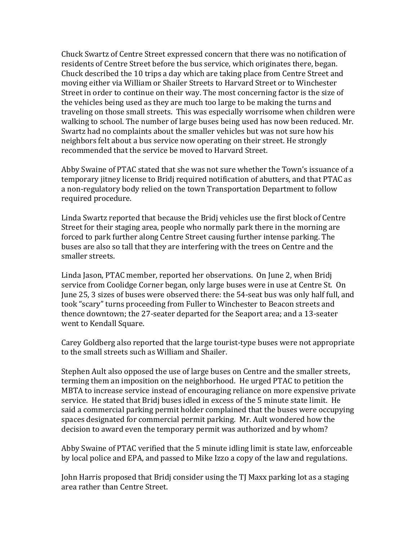Chuck Swartz of Centre Street expressed concern that there was no notification of residents of Centre Street before the bus service, which originates there, began. Chuck described the 10 trips a day which are taking place from Centre Street and moving either via William or Shailer Streets to Harvard Street or to Winchester Street in order to continue on their way. The most concerning factor is the size of the vehicles being used as they are much too large to be making the turns and traveling on those small streets. This was especially worrisome when children were walking to school. The number of large buses being used has now been reduced. Mr. Swartz had no complaints about the smaller vehicles but was not sure how his neighbors felt about a bus service now operating on their street. He strongly recommended that the service be moved to Harvard Street.

Abby Swaine of PTAC stated that she was not sure whether the Town's issuance of a temporary jitney license to Bridj required notification of abutters, and that PTAC as a non-regulatory body relied on the town Transportation Department to follow required procedure.

Linda Swartz reported that because the Bridj vehicles use the first block of Centre Street for their staging area, people who normally park there in the morning are forced to park further along Centre Street causing further intense parking. The buses are also so tall that they are interfering with the trees on Centre and the smaller streets.

Linda Jason, PTAC member, reported her observations. On June 2, when Bridj service from Coolidge Corner began, only large buses were in use at Centre St. On June 25, 3 sizes of buses were observed there: the 54-seat bus was only half full, and took "scary" turns proceeding from Fuller to Winchester to Beacon streets and thence downtown; the 27-seater departed for the Seaport area; and a 13-seater went to Kendall Square.

Carey Goldberg also reported that the large tourist-type buses were not appropriate to the small streets such as William and Shailer.

Stephen Ault also opposed the use of large buses on Centre and the smaller streets, terming them an imposition on the neighborhood. He urged PTAC to petition the MBTA to increase service instead of encouraging reliance on more expensive private service. He stated that Bridj buses idled in excess of the 5 minute state limit. He said a commercial parking permit holder complained that the buses were occupying spaces designated for commercial permit parking. Mr. Ault wondered how the decision to award even the temporary permit was authorized and by whom?

Abby Swaine of PTAC verified that the 5 minute idling limit is state law, enforceable by local police and EPA, and passed to Mike Izzo a copy of the law and regulations.

John Harris proposed that Bridj consider using the TJ Maxx parking lot as a staging area rather than Centre Street.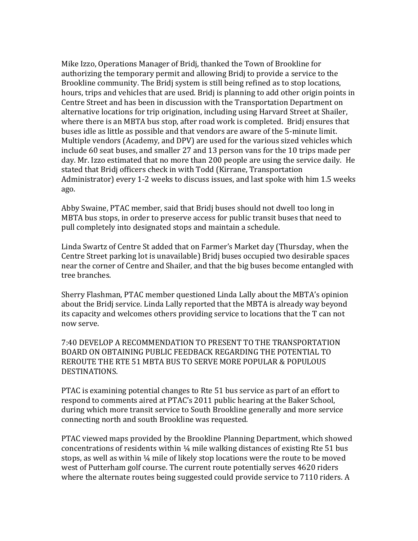Mike Izzo, Operations Manager of Bridj, thanked the Town of Brookline for authorizing the temporary permit and allowing Bridj to provide a service to the Brookline community. The Bridj system is still being refined as to stop locations, hours, trips and vehicles that are used. Bridj is planning to add other origin points in Centre Street and has been in discussion with the Transportation Department on alternative locations for trip origination, including using Harvard Street at Shailer, where there is an MBTA bus stop, after road work is completed. Bridj ensures that buses idle as little as possible and that vendors are aware of the 5-minute limit. Multiple vendors (Academy, and DPV) are used for the various sized vehicles which include 60 seat buses, and smaller 27 and 13 person vans for the 10 trips made per day. Mr. Izzo estimated that no more than 200 people are using the service daily. He stated that Bridj officers check in with Todd (Kirrane, Transportation Administrator) every 1-2 weeks to discuss issues, and last spoke with him 1.5 weeks ago.

Abby Swaine, PTAC member, said that Bridj buses should not dwell too long in MBTA bus stops, in order to preserve access for public transit buses that need to pull completely into designated stops and maintain a schedule.

Linda Swartz of Centre St added that on Farmer's Market day (Thursday, when the Centre Street parking lot is unavailable) Bridj buses occupied two desirable spaces near the corner of Centre and Shailer, and that the big buses become entangled with tree branches.

Sherry Flashman, PTAC member questioned Linda Lally about the MBTA's opinion about the Bridj service. Linda Lally reported that the MBTA is already way beyond its capacity and welcomes others providing service to locations that the T can not now serve.

7:40 DEVELOP A RECOMMENDATION TO PRESENT TO THE TRANSPORTATION BOARD ON OBTAINING PUBLIC FEEDBACK REGARDING THE POTENTIAL TO REROUTE THE RTE 51 MBTA BUS TO SERVE MORE POPULAR & POPULOUS DESTINATIONS.

PTAC is examining potential changes to Rte 51 bus service as part of an effort to respond to comments aired at PTAC's 2011 public hearing at the Baker School, during which more transit service to South Brookline generally and more service connecting north and south Brookline was requested.

PTAC viewed maps provided by the Brookline Planning Department, which showed concentrations of residents within  $\frac{1}{4}$  mile walking distances of existing Rte 51 bus stops, as well as within  $\frac{1}{4}$  mile of likely stop locations were the route to be moved west of Putterham golf course. The current route potentially serves 4620 riders where the alternate routes being suggested could provide service to 7110 riders. A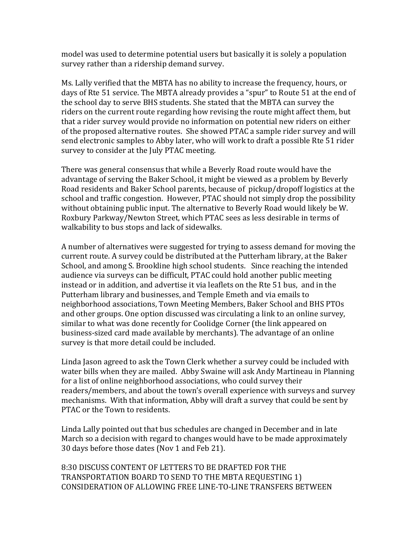model was used to determine potential users but basically it is solely a population survey rather than a ridership demand survey.

Ms. Lally verified that the MBTA has no ability to increase the frequency, hours, or days of Rte 51 service. The MBTA already provides a "spur" to Route 51 at the end of the school day to serve BHS students. She stated that the MBTA can survey the riders on the current route regarding how revising the route might affect them, but that a rider survey would provide no information on potential new riders on either of the proposed alternative routes. She showed PTAC a sample rider survey and will send electronic samples to Abby later, who will work to draft a possible Rte 51 rider survey to consider at the July PTAC meeting.

There was general consensus that while a Beverly Road route would have the advantage of serving the Baker School, it might be viewed as a problem by Beverly Road residents and Baker School parents, because of pickup/dropoff logistics at the school and traffic congestion. However, PTAC should not simply drop the possibility without obtaining public input. The alternative to Beverly Road would likely be W. Roxbury Parkway/Newton Street, which PTAC sees as less desirable in terms of walkability to bus stops and lack of sidewalks.

A number of alternatives were suggested for trying to assess demand for moving the current route. A survey could be distributed at the Putterham library, at the Baker School, and among S. Brookline high school students. Since reaching the intended audience via surveys can be difficult, PTAC could hold another public meeting instead or in addition, and advertise it via leaflets on the Rte 51 bus, and in the Putterham library and businesses, and Temple Emeth and via emails to neighborhood associations, Town Meeting Members, Baker School and BHS PTOs and other groups. One option discussed was circulating a link to an online survey, similar to what was done recently for Coolidge Corner (the link appeared on business-sized card made available by merchants). The advantage of an online survey is that more detail could be included.

Linda Jason agreed to ask the Town Clerk whether a survey could be included with water bills when they are mailed. Abby Swaine will ask Andy Martineau in Planning for a list of online neighborhood associations, who could survey their readers/members, and about the town's overall experience with surveys and survey mechanisms. With that information, Abby will draft a survey that could be sent by PTAC or the Town to residents.

Linda Lally pointed out that bus schedules are changed in December and in late March so a decision with regard to changes would have to be made approximately 30 days before those dates (Nov 1 and Feb 21).

8:30 DISCUSS CONTENT OF LETTERS TO BE DRAFTED FOR THE TRANSPORTATION BOARD TO SEND TO THE MBTA REQUESTING 1) CONSIDERATION OF ALLOWING FREE LINE-TO-LINE TRANSFERS BETWEEN